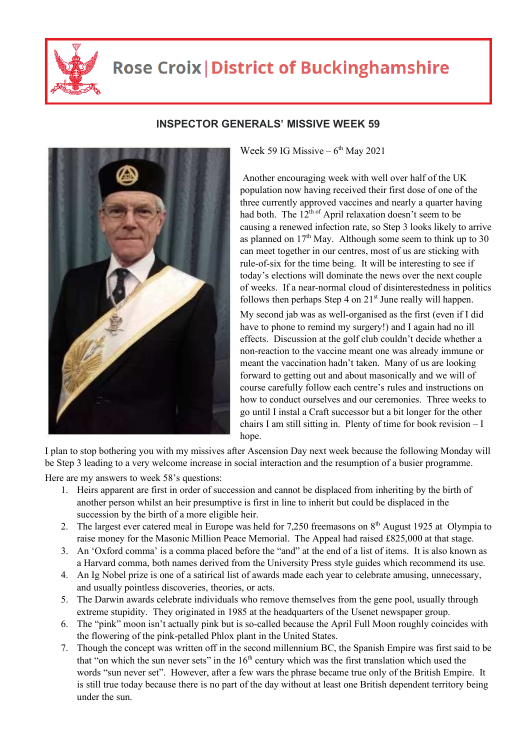

## **Rose Croix | District of Buckinghamshire**



## **INSPECTOR GENERALS' MISSIVE WEEK 59**

Week 59 IG Missive  $-6^{th}$  May 2021

 Another encouraging week with well over half of the UK population now having received their first dose of one of the three currently approved vaccines and nearly a quarter having had both. The  $12<sup>th of</sup>$  April relaxation doesn't seem to be causing a renewed infection rate, so Step 3 looks likely to arrive as planned on  $17<sup>th</sup>$  May. Although some seem to think up to 30 can meet together in our centres, most of us are sticking with rule-of-six for the time being. It will be interesting to see if today's elections will dominate the news over the next couple of weeks. If a near-normal cloud of disinterestedness in politics follows then perhaps Step 4 on  $21<sup>st</sup>$  June really will happen. My second jab was as well-organised as the first (even if I did have to phone to remind my surgery!) and I again had no ill effects. Discussion at the golf club couldn't decide whether a non-reaction to the vaccine meant one was already immune or meant the vaccination hadn't taken. Many of us are looking forward to getting out and about masonically and we will of course carefully follow each centre's rules and instructions on how to conduct ourselves and our ceremonies. Three weeks to go until I instal a Craft successor but a bit longer for the other chairs I am still sitting in. Plenty of time for book revision – I hope.

I plan to stop bothering you with my missives after Ascension Day next week because the following Monday will be Step 3 leading to a very welcome increase in social interaction and the resumption of a busier programme.

Here are my answers to week 58's questions:

- 1. Heirs apparent are first in order of succession and cannot be displaced from inheriting by the birth of another person whilst an heir presumptive is first in line to inherit but could be displaced in the succession by the birth of a more eligible heir.
- 2. The largest ever catered meal in Europe was held for 7,250 freemasons on  $8<sup>th</sup>$  August 1925 at Olympia to raise money for the Masonic Million Peace Memorial. The Appeal had raised £825,000 at that stage.
- 3. An 'Oxford comma' is a comma placed before the "and" at the end of a list of items. It is also known as a Harvard comma, both names derived from the University Press style guides which recommend its use.
- 4. An Ig Nobel prize is one of a satirical list of awards made each year to celebrate amusing, unnecessary, and usually pointless discoveries, theories, or acts.
- 5. The Darwin awards celebrate individuals who remove themselves from the gene pool, usually through extreme stupidity. They originated in 1985 at the headquarters of the Usenet newspaper group.
- 6. The "pink" moon isn't actually pink but is so-called because the April Full Moon roughly coincides with the flowering of the pink-petalled Phlox plant in the United States.
- 7. Though the concept was written off in the second millennium BC, the Spanish Empire was first said to be that "on which the sun never sets" in the  $16<sup>th</sup>$  century which was the first translation which used the words "sun never set". However, after a few wars the phrase became true only of the British Empire. It is still true today because there is no part of the day without at least one British dependent territory being under the sun.